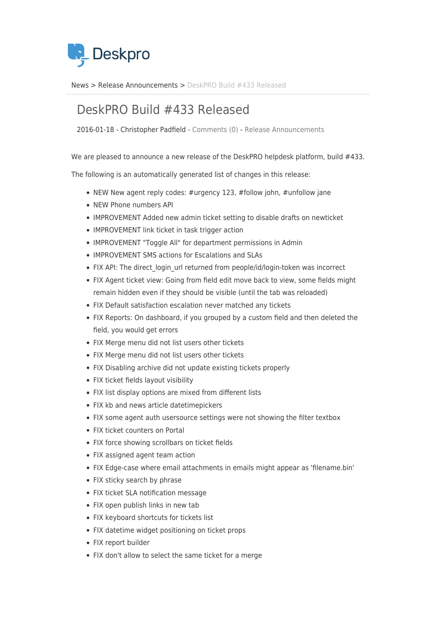

[News](https://support.deskpro.com/ro/news) > [Release Announcements](https://support.deskpro.com/ro/news/release-announcements) > [DeskPRO Build #433 Released](https://support.deskpro.com/ro/news/posts/deskpro-build-433-released)

## DeskPRO Build #433 Released

2016-01-18 - Christopher Padfield - [Comments \(0\)](#page--1-0) - [Release Announcements](https://support.deskpro.com/ro/news/release-announcements)

We are pleased to announce a new release of the DeskPRO helpdesk platform, build #433.

The following is an automatically generated list of changes in this release:

- NEW New agent reply codes: #urgency 123, #follow john, #unfollow jane
- NEW Phone numbers API
- IMPROVEMENT Added new admin ticket setting to disable drafts on newticket
- IMPROVEMENT link ticket in task trigger action
- IMPROVEMENT "Toggle All" for department permissions in Admin
- IMPROVEMENT SMS actions for Escalations and SLAs
- FIX API: The direct login url returned from people/id/login-token was incorrect
- FIX Agent ticket view: Going from field edit move back to view, some fields might remain hidden even if they should be visible (until the tab was reloaded)
- FIX Default satisfaction escalation never matched any tickets
- FIX Reports: On dashboard, if you grouped by a custom field and then deleted the field, you would get errors
- FIX Merge menu did not list users other tickets
- FIX Merge menu did not list users other tickets
- FIX Disabling archive did not update existing tickets properly
- FIX ticket fields layout visibility
- FIX list display options are mixed from different lists
- FIX kb and news article datetimepickers
- FIX some agent auth usersource settings were not showing the filter textbox
- FIX ticket counters on Portal
- FIX force showing scrollbars on ticket fields
- FIX assigned agent team action
- FIX Edge-case where email attachments in emails might appear as 'filename.bin'
- FIX sticky search by phrase
- FIX ticket SLA notification message
- FIX open publish links in new tab
- FIX keyboard shortcuts for tickets list
- FIX datetime widget positioning on ticket props
- FIX report builder
- FIX don't allow to select the same ticket for a merge